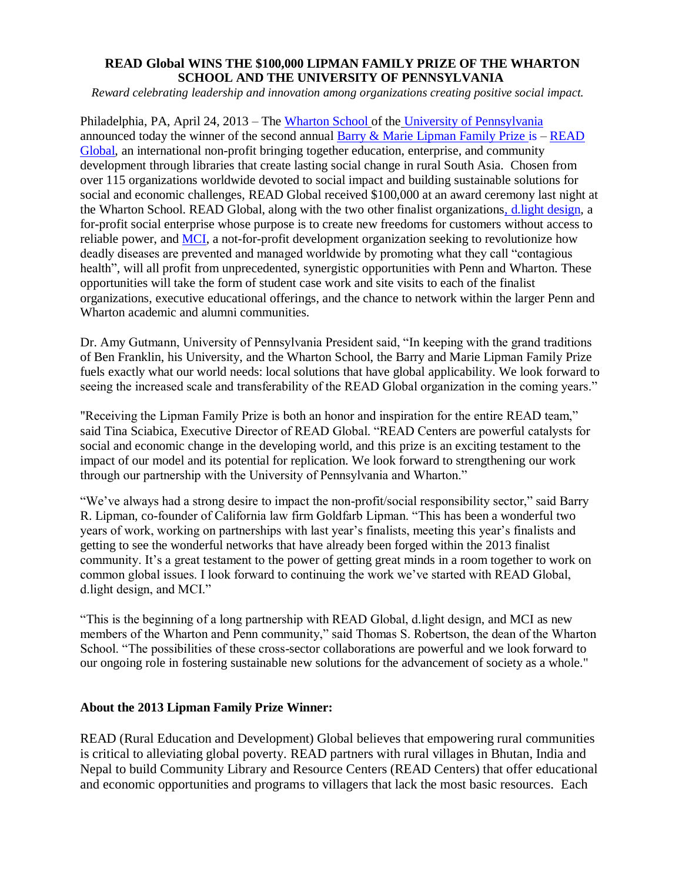## **READ Global WINS THE \$100,000 LIPMAN FAMILY PRIZE OF THE WHARTON SCHOOL AND THE UNIVERSITY OF PENNSYLVANIA**

*Reward celebrating leadership and innovation among organizations creating positive social impact.* 

Philadelphia, PA, April 24, 2013 – The [Wharton School](http://www.wharton.upenn.edu/) of the [University of Pennsylvania](http://www.upenn.edu/) announced today the winner of the second annual [Barry & Marie Lipman Family Prize](http://www.wharton.upenn.edu/lipmanfamilyprize/) is – [READ](http://www.readglobal.org/)  [Global,](http://www.readglobal.org/) an international non-profit bringing together education, enterprise, and community development through libraries that create lasting social change in rural South Asia. Chosen from over 115 organizations worldwide devoted to social impact and building sustainable solutions for social and economic challenges, READ Global received \$100,000 at an award ceremony last night at the Wharton School. READ Global, along with the two other finalist organization[s, d.light design,](http://dlightdesign.com/) a for-profit social enterprise whose purpose is to create new freedoms for customers without access to reliable power, and [MCI,](http://microclinics.org/) a not-for-profit development organization seeking to revolutionize how deadly diseases are prevented and managed worldwide by promoting what they call "contagious health", will all profit from unprecedented, synergistic opportunities with Penn and Wharton. These opportunities will take the form of student case work and site visits to each of the finalist organizations, executive educational offerings, and the chance to network within the larger Penn and Wharton academic and alumni communities.

Dr. Amy Gutmann, University of Pennsylvania President said, "In keeping with the grand traditions of Ben Franklin, his University, and the Wharton School, the Barry and Marie Lipman Family Prize fuels exactly what our world needs: local solutions that have global applicability. We look forward to seeing the increased scale and transferability of the READ Global organization in the coming years."

"Receiving the Lipman Family Prize is both an honor and inspiration for the entire READ team," said Tina Sciabica, Executive Director of READ Global. "READ Centers are powerful catalysts for social and economic change in the developing world, and this prize is an exciting testament to the impact of our model and its potential for replication. We look forward to strengthening our work through our partnership with the University of Pennsylvania and Wharton."

"We've always had a strong desire to impact the non-profit/social responsibility sector," said Barry R. Lipman, co-founder of California law firm Goldfarb Lipman. "This has been a wonderful two years of work, working on partnerships with last year's finalists, meeting this year's finalists and getting to see the wonderful networks that have already been forged within the 2013 finalist community. It's a great testament to the power of getting great minds in a room together to work on common global issues. I look forward to continuing the work we've started with READ Global, d.light design, and MCI."

"This is the beginning of a long partnership with READ Global, d.light design, and MCI as new members of the Wharton and Penn community," said Thomas S. Robertson, the dean of the Wharton School. "The possibilities of these cross-sector collaborations are powerful and we look forward to our ongoing role in fostering sustainable new solutions for the advancement of society as a whole."

## **About the 2013 Lipman Family Prize Winner:**

READ (Rural Education and Development) Global believes that empowering rural communities is critical to alleviating global poverty. READ partners with rural villages in Bhutan, India and Nepal to build Community Library and Resource Centers (READ Centers) that offer educational and economic opportunities and programs to villagers that lack the most basic resources. Each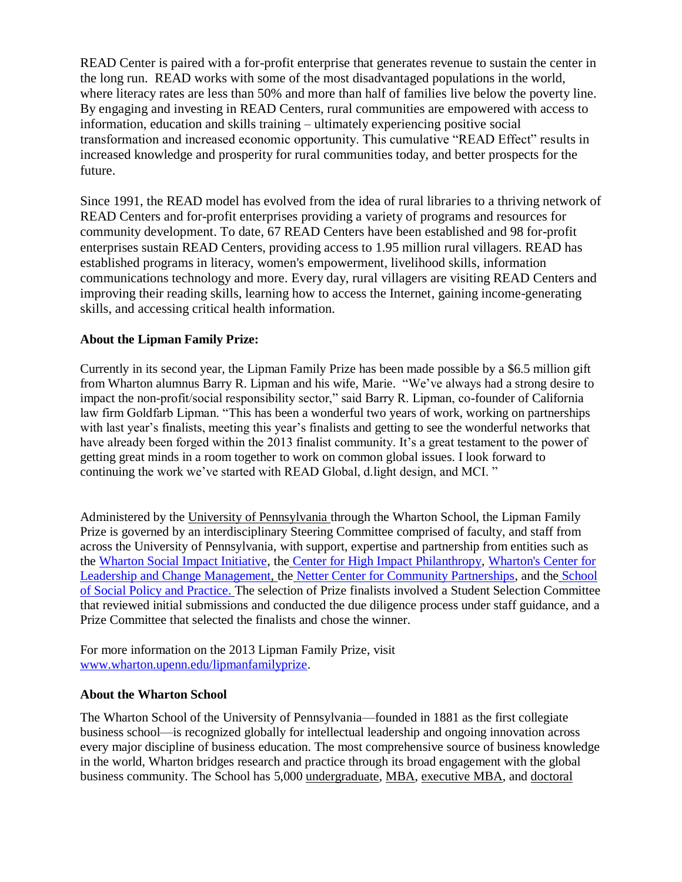READ Center is paired with a for-profit enterprise that generates revenue to sustain the center in the long run. READ works with some of the most disadvantaged populations in the world, where literacy rates are less than 50% and more than half of families live below the poverty line. By engaging and investing in READ Centers, rural communities are empowered with access to information, education and skills training – ultimately experiencing positive social transformation and increased economic opportunity. This cumulative "READ Effect" results in increased knowledge and prosperity for rural communities today, and better prospects for the future.

Since 1991, the READ model has evolved from the idea of rural libraries to a thriving network of READ Centers and for-profit enterprises providing a variety of programs and resources for community development. To date, 67 READ Centers have been established and 98 for-profit enterprises sustain READ Centers, providing access to 1.95 million rural villagers. READ has established programs in literacy, women's empowerment, livelihood skills, information communications technology and more. Every day, rural villagers are visiting READ Centers and improving their reading skills, learning how to access the Internet, gaining income-generating skills, and accessing critical health information.

## **About the Lipman Family Prize:**

Currently in its second year, the Lipman Family Prize has been made possible by a \$6.5 million gift from Wharton alumnus Barry R. Lipman and his wife, Marie. "We've always had a strong desire to impact the non-profit/social responsibility sector," said Barry R. Lipman, co-founder of California law firm Goldfarb Lipman. "This has been a wonderful two years of work, working on partnerships with last year's finalists, meeting this year's finalists and getting to see the wonderful networks that have already been forged within the 2013 finalist community. It's a great testament to the power of getting great minds in a room together to work on common global issues. I look forward to continuing the work we've started with READ Global, d.light design, and MCI. "

Administered by the University of Pennsylvania through the Wharton School, the Lipman Family Prize is governed by an interdisciplinary Steering Committee comprised of faculty, and staff from across the University of Pennsylvania, with support, expertise and partnership from entities such as the [Wharton Social Impact Initiative,](http://www.wharton.upenn.edu/socialimpact/) the [Center for High Impact Philanthropy,](http://www.impact.upenn.edu/) [Wharton's Center for](http://wlp.wharton.upenn.edu/the-leadership-center/leadership-center-index.cfm)  [Leadership and Change Management,](http://wlp.wharton.upenn.edu/the-leadership-center/leadership-center-index.cfm) the [Netter Center for Community Partnerships,](https://www.nettercenter.upenn.edu/index.php) and the [School](http://www.sp2.upenn.edu/)  [of Social Policy and Practice.](http://www.sp2.upenn.edu/) The selection of Prize finalists involved a Student Selection Committee that reviewed initial submissions and conducted the due diligence process under staff guidance, and a Prize Committee that selected the finalists and chose the winner.

For more information on the 2013 Lipman Family Prize, visit [www.wharton.upenn.edu/lipmanfamilyprize.](file:///C:/Users/kfitz/AppData/Local/Microsoft/Windows/Temporary%20Internet%20Files/Content.Outlook/6X1FNBPJ/www.wharton.upenn.edu/lipmanfamilyprize)

## **About the Wharton School**

The Wharton School of the University of Pennsylvania—founded in 1881 as the first collegiate business school—is recognized globally for intellectual leadership and ongoing innovation across every major discipline of business education. The most comprehensive source of business knowledge in the world, Wharton bridges research and practice through its broad engagement with the global business community. The School has 5,000 undergraduate, MBA, executive MBA, and doctoral